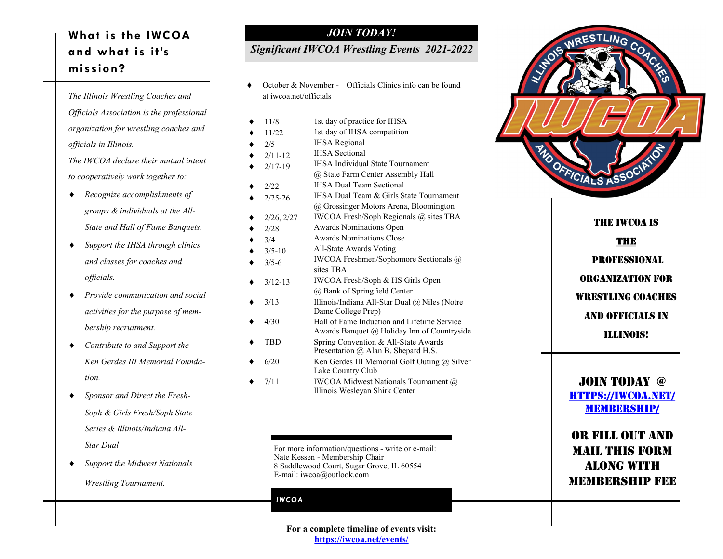# **What is the IWCOA and what is it's mission?**

*The Illinois Wrestling Coaches and Officials Association is the professional organization for wrestling coaches and officials in Illinois.*

*The IWCOA declare their mutual intent to cooperatively work together to:*

- *Recognize accomplishments of groups & individuals at the All-State and Hall of Fame Banquets.*
- *Support the IHSA through clinics and classes for coaches and officials.*
- *Provide communication and social activities for the purpose of membership recruitment.*
- *Contribute to and Support the Ken Gerdes III Memorial Foundation.*
- *Sponsor and Direct the Fresh-Soph & Girls Fresh/Soph State Series & Illinois/Indiana All-Star Dual*
- *Support the Midwest Nationals*

*Wrestling Tournament.*

### *JOIN TODAY!*

### *Significant IWCOA Wrestling Events 2021-2022*

 October & November - Officials Clinics info can be found at iwcoa.net/officials

| 11/8        | 1st day of practice for IHSA                                           |
|-------------|------------------------------------------------------------------------|
| 11/22       | 1st day of IHSA competition                                            |
| 2/5         | <b>IHSA</b> Regional                                                   |
| $2/11 - 12$ | <b>IHSA</b> Sectional                                                  |
| $2/17 - 19$ | <b>IHSA Individual State Tournament</b>                                |
|             | @ State Farm Center Assembly Hall                                      |
| 2/22        | <b>IHSA Dual Team Sectional</b>                                        |
| $2/25 - 26$ | IHSA Dual Team & Girls State Tournament                                |
|             | @ Grossinger Motors Arena, Bloomington                                 |
| 2/26, 2/27  | IWCOA Fresh/Soph Regionals @ sites TBA                                 |
| 2/28        | Awards Nominations Open                                                |
| 3/4         | Awards Nominations Close                                               |
| $3/5 - 10$  | All-State Awards Voting                                                |
| $3/5 - 6$   | IWCOA Freshmen/Sophomore Sectionals @                                  |
|             | sites TBA                                                              |
| $3/12 - 13$ | IWCOA Fresh/Soph & HS Girls Open                                       |
|             | @ Bank of Springfield Center                                           |
| 3/13        | Illinois/Indiana All-Star Dual @ Niles (Notre                          |
|             | Dame College Prep)                                                     |
| 4/30        | Hall of Fame Induction and Lifetime Service                            |
|             | Awards Banquet @ Holiday Inn of Countryside                            |
| TBD         | Spring Convention & All-State Awards                                   |
|             | Presentation @ Alan B. Shepard H.S.                                    |
| 6/20        | Ken Gerdes III Memorial Golf Outing $@$ Silver<br>Lake Country Club    |
| 7/11        |                                                                        |
|             | IWCOA Midwest Nationals Tournament @<br>Illinois Wesleyan Shirk Center |
|             |                                                                        |

For more information/questions - write or e-mail: Nate Kessen - Membership Chair 8 Saddlewood Court, Sugar Grove, IL 60554 E-mail: iwcoa@outlook.com

#### *IWCOA*



The IWCOA is THE

professional organization for wrestling coaches and officials in Illinois!

## JOIN TODAY @ [https://iwcoa.net/](https://iwcoa.net/membership/) [membership/](https://iwcoa.net/membership/)

## Or fill out and mail this form along with membership fee